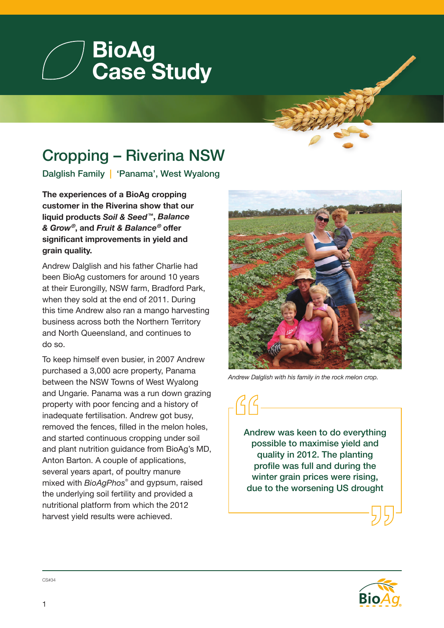

## Cropping – Riverina NSW

Dalglish Family | 'Panama', West Wyalong

**The experiences of a BioAg cropping customer in the Riverina show that our liquid products** *Soil & Seed* **™,** *Balance & Grow®***, and** *Fruit & Balance®* **offer significant improvements in yield and grain quality.**

Andrew Dalglish and his father Charlie had been BioAg customers for around 10 years at their Eurongilly, NSW farm, Bradford Park, when they sold at the end of 2011. During this time Andrew also ran a mango harvesting business across both the Northern Territory and North Queensland, and continues to do so.

To keep himself even busier, in 2007 Andrew purchased a 3,000 acre property, Panama between the NSW Towns of West Wyalong and Ungarie. Panama was a run down grazing property with poor fencing and a history of inadequate fertilisation. Andrew got busy, removed the fences, filled in the melon holes, and started continuous cropping under soil and plant nutrition guidance from BioAg's MD, Anton Barton. A couple of applications, several years apart, of poultry manure mixed with *BioAgPhos®* and gypsum, raised the underlying soil fertility and provided a nutritional platform from which the 2012 harvest yield results were achieved.



*Andrew Dalglish with his family in the rock melon crop.*

Andrew was keen to do everything possible to maximise yield and quality in 2012. The planting profile was full and during the winter grain prices were rising, due to the worsening US drought



CS#34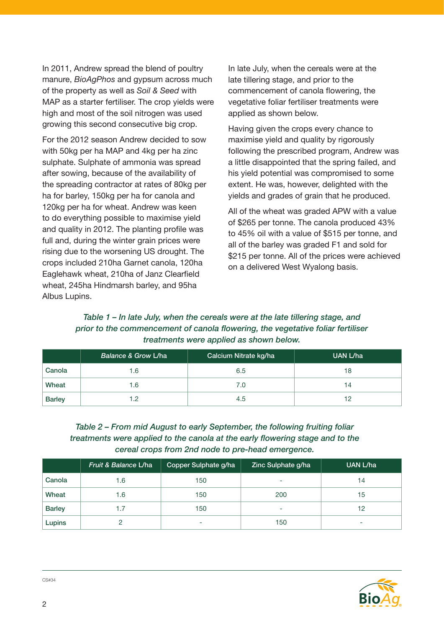In 2011, Andrew spread the blend of poultry manure, *BioAgPhos* and gypsum across much of the property as well as *Soil & Seed* with MAP as a starter fertiliser. The crop yields were high and most of the soil nitrogen was used growing this second consecutive big crop.

For the 2012 season Andrew decided to sow with 50kg per ha MAP and 4kg per ha zinc sulphate. Sulphate of ammonia was spread after sowing, because of the availability of the spreading contractor at rates of 80kg per ha for barley, 150kg per ha for canola and 120kg per ha for wheat. Andrew was keen to do everything possible to maximise yield and quality in 2012. The planting profile was full and, during the winter grain prices were rising due to the worsening US drought. The crops included 210ha Garnet canola, 120ha Eaglehawk wheat, 210ha of Janz Clearfield wheat, 245ha Hindmarsh barley, and 95ha Albus Lupins.

In late July, when the cereals were at the late tillering stage, and prior to the commencement of canola flowering, the vegetative foliar fertiliser treatments were applied as shown below.

Having given the crops every chance to maximise yield and quality by rigorously following the prescribed program, Andrew was a little disappointed that the spring failed, and his yield potential was compromised to some extent. He was, however, delighted with the yields and grades of grain that he produced.

All of the wheat was graded APW with a value of \$265 per tonne. The canola produced 43% to 45% oil with a value of \$515 per tonne, and all of the barley was graded F1 and sold for \$215 per tonne. All of the prices were achieved on a delivered West Wyalong basis.

## *Table 1 – In late July, when the cereals were at the late tillering stage, and prior to the commencement of canola flowering, the vegetative foliar fertiliser treatments were applied as shown below.*

|               | Balance & Grow L/ha | Calcium Nitrate kg/ha | UAN L/ha |
|---------------|---------------------|-----------------------|----------|
| Canola        | 6. ا                | 6.5                   | 18       |
| Wheat         | 6. ا                | 7.0                   | 14       |
| <b>Barley</b> | .2                  | 4.5                   | 12       |

## *Table 2 – From mid August to early September, the following fruiting foliar treatments were applied to the canola at the early flowering stage and to the cereal crops from 2nd node to pre-head emergence.*

|               | Fruit & Balance L/ha | Copper Sulphate g/ha | Zinc Sulphate g/ha | UAN L/ha |
|---------------|----------------------|----------------------|--------------------|----------|
| Canola        | 1.6                  | 150                  | -                  | 14       |
| Wheat         | 1.6                  | 150                  | 200                | 15       |
| <b>Barley</b> | 1.7                  | 150                  | ۰                  | 12       |
| Lupins        |                      | -                    | 150                | ٠        |



CS#34